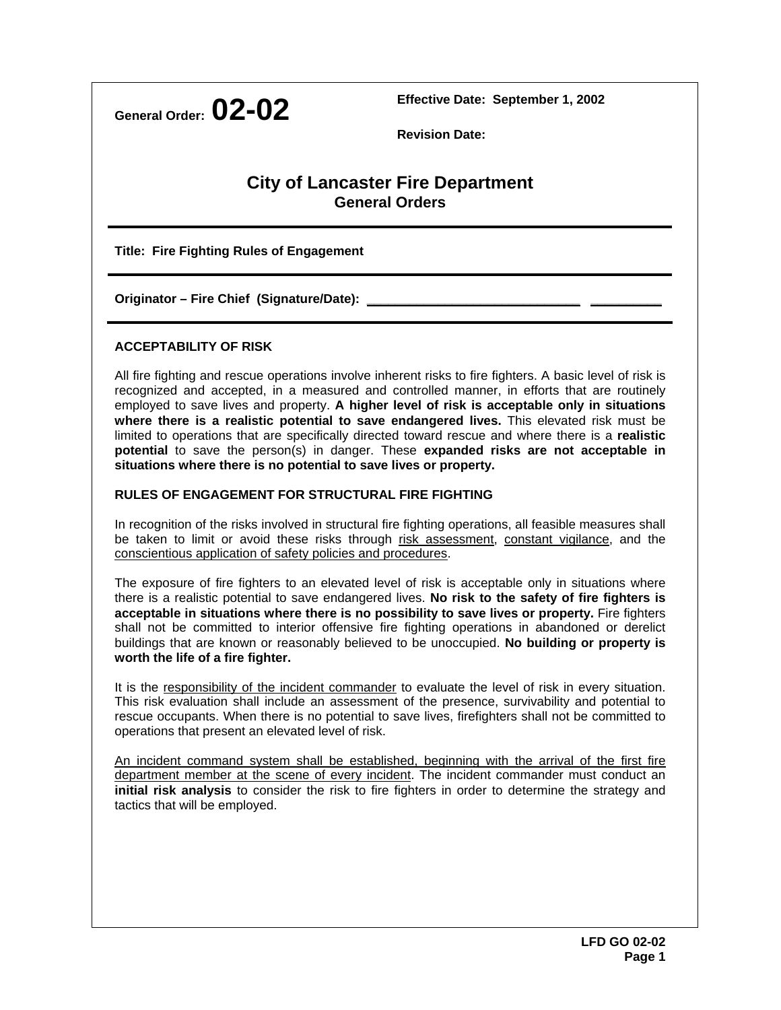**General Order: 02-02 Effective Date: September 1, 2002** 

 **Revision Date:** 

## **City of Lancaster Fire Department General Orders**

**Title: Fire Fighting Rules of Engagement** 

Originator – Fire Chief (Signature/Date):

## **ACCEPTABILITY OF RISK**

All fire fighting and rescue operations involve inherent risks to fire fighters. A basic level of risk is recognized and accepted, in a measured and controlled manner, in efforts that are routinely employed to save lives and property. **A higher level of risk is acceptable only in situations where there is a realistic potential to save endangered lives.** This elevated risk must be limited to operations that are specifically directed toward rescue and where there is a **realistic potential** to save the person(s) in danger. These **expanded risks are not acceptable in situations where there is no potential to save lives or property.**

## **RULES OF ENGAGEMENT FOR STRUCTURAL FIRE FIGHTING**

In recognition of the risks involved in structural fire fighting operations, all feasible measures shall be taken to limit or avoid these risks through risk assessment, constant vigilance, and the conscientious application of safety policies and procedures.

The exposure of fire fighters to an elevated level of risk is acceptable only in situations where there is a realistic potential to save endangered lives. **No risk to the safety of fire fighters is acceptable in situations where there is no possibility to save lives or property.** Fire fighters shall not be committed to interior offensive fire fighting operations in abandoned or derelict buildings that are known or reasonably believed to be unoccupied. **No building or property is worth the life of a fire fighter.**

It is the responsibility of the incident commander to evaluate the level of risk in every situation. This risk evaluation shall include an assessment of the presence, survivability and potential to rescue occupants. When there is no potential to save lives, firefighters shall not be committed to operations that present an elevated level of risk.

An incident command system shall be established, beginning with the arrival of the first fire department member at the scene of every incident. The incident commander must conduct an **initial risk analysis** to consider the risk to fire fighters in order to determine the strategy and tactics that will be employed.